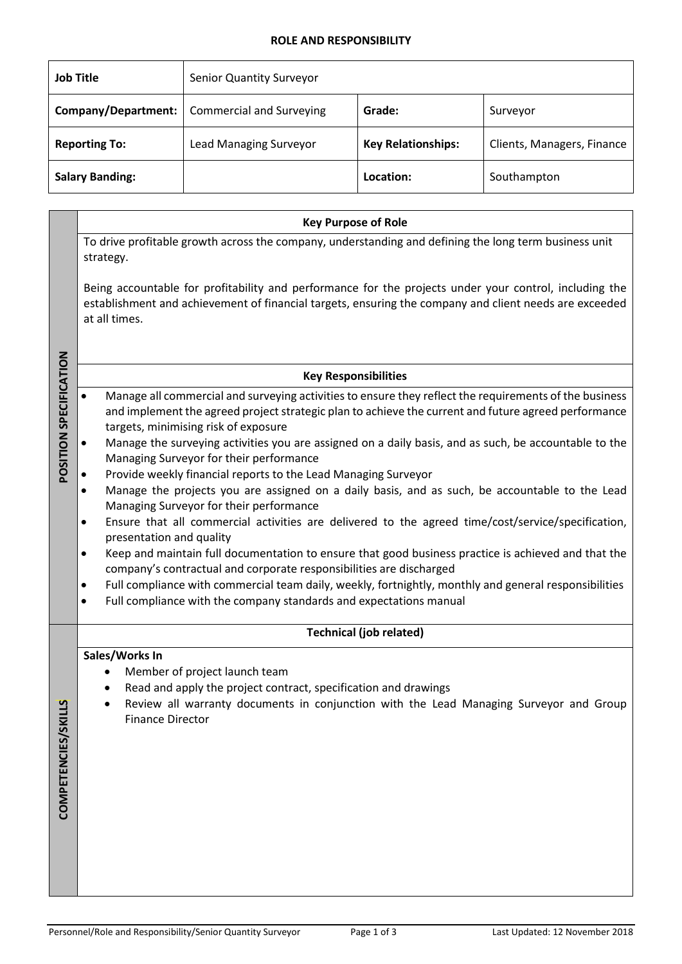### **ROLE AND RESPONSIBILITY**

| <b>Job Title</b>       | Senior Quantity Surveyor        |                           |                            |
|------------------------|---------------------------------|---------------------------|----------------------------|
| Company/Department:    | <b>Commercial and Surveying</b> | Grade:                    | Surveyor                   |
| <b>Reporting To:</b>   | <b>Lead Managing Surveyor</b>   | <b>Key Relationships:</b> | Clients, Managers, Finance |
| <b>Salary Banding:</b> |                                 | Location:                 | Southampton                |

|                        | <b>Key Purpose of Role</b>                                                                                                                                                                                                                                          |  |  |  |
|------------------------|---------------------------------------------------------------------------------------------------------------------------------------------------------------------------------------------------------------------------------------------------------------------|--|--|--|
|                        | To drive profitable growth across the company, understanding and defining the long term business unit<br>strategy.                                                                                                                                                  |  |  |  |
|                        | Being accountable for profitability and performance for the projects under your control, including the<br>establishment and achievement of financial targets, ensuring the company and client needs are exceeded<br>at all times.                                   |  |  |  |
|                        | <b>Key Responsibilities</b>                                                                                                                                                                                                                                         |  |  |  |
| POSITION SPECIFICATION | Manage all commercial and surveying activities to ensure they reflect the requirements of the business<br>$\bullet$<br>and implement the agreed project strategic plan to achieve the current and future agreed performance<br>targets, minimising risk of exposure |  |  |  |
|                        | Manage the surveying activities you are assigned on a daily basis, and as such, be accountable to the<br>$\bullet$<br>Managing Surveyor for their performance                                                                                                       |  |  |  |
|                        | Provide weekly financial reports to the Lead Managing Surveyor<br>Manage the projects you are assigned on a daily basis, and as such, be accountable to the Lead<br>$\bullet$                                                                                       |  |  |  |
|                        | Managing Surveyor for their performance                                                                                                                                                                                                                             |  |  |  |
|                        | Ensure that all commercial activities are delivered to the agreed time/cost/service/specification,<br>$\bullet$<br>presentation and quality                                                                                                                         |  |  |  |
|                        | Keep and maintain full documentation to ensure that good business practice is achieved and that the<br>$\bullet$<br>company's contractual and corporate responsibilities are discharged                                                                             |  |  |  |
|                        | Full compliance with commercial team daily, weekly, fortnightly, monthly and general responsibilities<br>$\bullet$<br>Full compliance with the company standards and expectations manual<br>$\bullet$                                                               |  |  |  |
|                        | <b>Technical (job related)</b>                                                                                                                                                                                                                                      |  |  |  |
| <b>COMPETENCIES/S</b>  | Sales/Works In<br>Member of project launch team<br>Read and apply the project contract, specification and drawings<br>Review all warranty documents in conjunction with the Lead Managing Surveyor and Group<br><b>Finance Director</b>                             |  |  |  |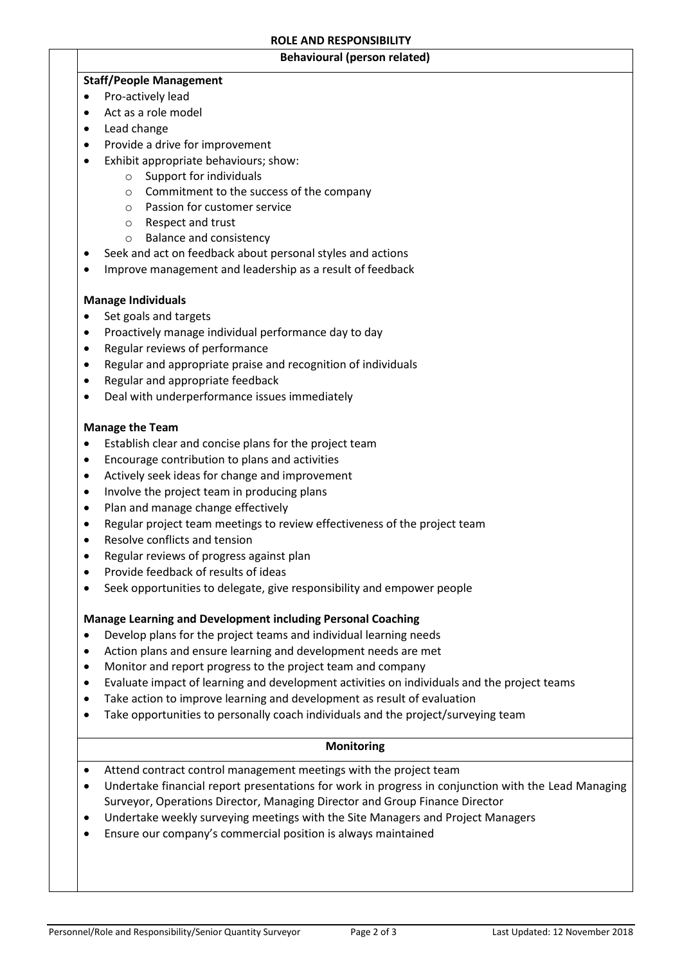#### **Behavioural (person related)**

# **Staff/People Management**

- Pro-actively lead
- Act as a role model
- Lead change
- Provide a drive for improvement
- Exhibit appropriate behaviours; show:
	- o Support for individuals
	- o Commitment to the success of the company
	- o Passion for customer service
	- o Respect and trust
	- o Balance and consistency
- Seek and act on feedback about personal styles and actions
- Improve management and leadership as a result of feedback

## **Manage Individuals**

- Set goals and targets
- Proactively manage individual performance day to day
- Regular reviews of performance
- Regular and appropriate praise and recognition of individuals
- Regular and appropriate feedback
- Deal with underperformance issues immediately

### **Manage the Team**

- Establish clear and concise plans for the project team
- Encourage contribution to plans and activities
- Actively seek ideas for change and improvement
- Involve the project team in producing plans
- Plan and manage change effectively
- Regular project team meetings to review effectiveness of the project team
- Resolve conflicts and tension
- Regular reviews of progress against plan
- Provide feedback of results of ideas
- Seek opportunities to delegate, give responsibility and empower people

## **Manage Learning and Development including Personal Coaching**

- Develop plans for the project teams and individual learning needs
- Action plans and ensure learning and development needs are met
- Monitor and report progress to the project team and company
- Evaluate impact of learning and development activities on individuals and the project teams
- Take action to improve learning and development as result of evaluation
- Take opportunities to personally coach individuals and the project/surveying team

## **Monitoring**

- Attend contract control management meetings with the project team
- Undertake financial report presentations for work in progress in conjunction with the Lead Managing Surveyor, Operations Director, Managing Director and Group Finance Director
- Undertake weekly surveying meetings with the Site Managers and Project Managers
- Ensure our company's commercial position is always maintained